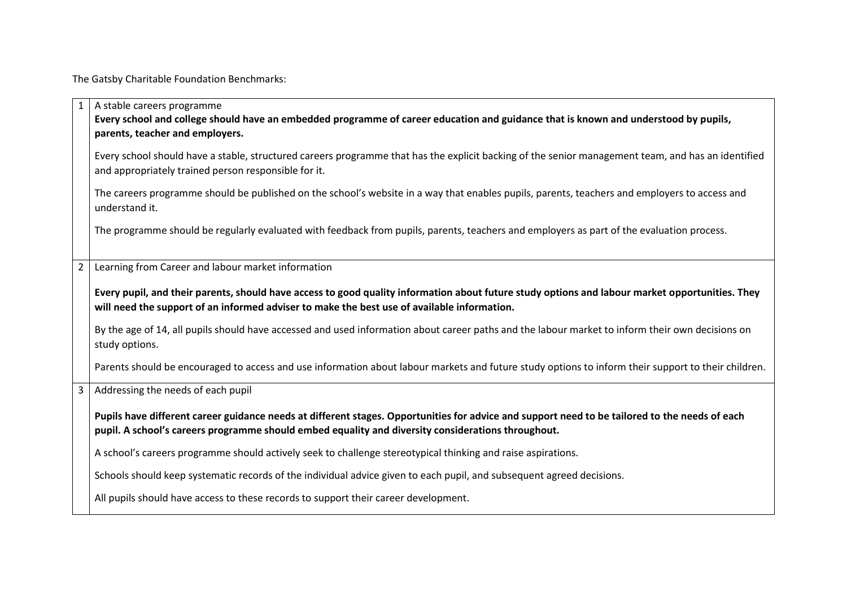The Gatsby Charitable Foundation Benchmarks:

|                | A stable careers programme                                                                                                                                                                                                                           |
|----------------|------------------------------------------------------------------------------------------------------------------------------------------------------------------------------------------------------------------------------------------------------|
|                | Every school and college should have an embedded programme of career education and guidance that is known and understood by pupils,                                                                                                                  |
|                | parents, teacher and employers.                                                                                                                                                                                                                      |
|                | Every school should have a stable, structured careers programme that has the explicit backing of the senior management team, and has an identified<br>and appropriately trained person responsible for it.                                           |
|                | The careers programme should be published on the school's website in a way that enables pupils, parents, teachers and employers to access and<br>understand it.                                                                                      |
|                | The programme should be regularly evaluated with feedback from pupils, parents, teachers and employers as part of the evaluation process.                                                                                                            |
| $\overline{2}$ | Learning from Career and labour market information                                                                                                                                                                                                   |
|                |                                                                                                                                                                                                                                                      |
|                | Every pupil, and their parents, should have access to good quality information about future study options and labour market opportunities. They<br>will need the support of an informed adviser to make the best use of available information.       |
|                | By the age of 14, all pupils should have accessed and used information about career paths and the labour market to inform their own decisions on<br>study options.                                                                                   |
|                | Parents should be encouraged to access and use information about labour markets and future study options to inform their support to their children.                                                                                                  |
| $\overline{3}$ | Addressing the needs of each pupil                                                                                                                                                                                                                   |
|                | Pupils have different career guidance needs at different stages. Opportunities for advice and support need to be tailored to the needs of each<br>pupil. A school's careers programme should embed equality and diversity considerations throughout. |
|                | A school's careers programme should actively seek to challenge stereotypical thinking and raise aspirations.                                                                                                                                         |
|                | Schools should keep systematic records of the individual advice given to each pupil, and subsequent agreed decisions.                                                                                                                                |
|                | All pupils should have access to these records to support their career development.                                                                                                                                                                  |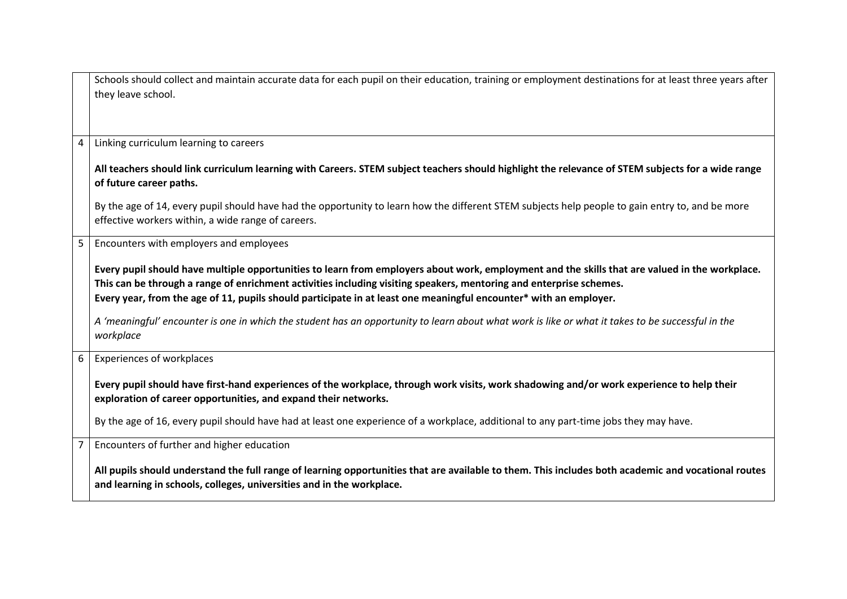|                | Schools should collect and maintain accurate data for each pupil on their education, training or employment destinations for at least three years after                                                |
|----------------|--------------------------------------------------------------------------------------------------------------------------------------------------------------------------------------------------------|
|                | they leave school.                                                                                                                                                                                     |
|                |                                                                                                                                                                                                        |
|                |                                                                                                                                                                                                        |
| 4              | Linking curriculum learning to careers                                                                                                                                                                 |
|                | All teachers should link curriculum learning with Careers. STEM subject teachers should highlight the relevance of STEM subjects for a wide range                                                      |
|                | of future career paths.                                                                                                                                                                                |
|                | By the age of 14, every pupil should have had the opportunity to learn how the different STEM subjects help people to gain entry to, and be more<br>effective workers within, a wide range of careers. |
| 5 <sub>1</sub> | Encounters with employers and employees                                                                                                                                                                |
|                |                                                                                                                                                                                                        |
|                | Every pupil should have multiple opportunities to learn from employers about work, employment and the skills that are valued in the workplace.                                                         |
|                | This can be through a range of enrichment activities including visiting speakers, mentoring and enterprise schemes.                                                                                    |
|                | Every year, from the age of 11, pupils should participate in at least one meaningful encounter* with an employer.                                                                                      |
|                | A 'meaningful' encounter is one in which the student has an opportunity to learn about what work is like or what it takes to be successful in the                                                      |
|                | workplace                                                                                                                                                                                              |
|                |                                                                                                                                                                                                        |
| 6              | <b>Experiences of workplaces</b>                                                                                                                                                                       |
|                |                                                                                                                                                                                                        |
|                | Every pupil should have first-hand experiences of the workplace, through work visits, work shadowing and/or work experience to help their                                                              |
|                | exploration of career opportunities, and expand their networks.                                                                                                                                        |
|                | By the age of 16, every pupil should have had at least one experience of a workplace, additional to any part-time jobs they may have.                                                                  |
| $7^{\circ}$    | Encounters of further and higher education                                                                                                                                                             |
|                |                                                                                                                                                                                                        |
|                | All pupils should understand the full range of learning opportunities that are available to them. This includes both academic and vocational routes                                                    |
|                | and learning in schools, colleges, universities and in the workplace.                                                                                                                                  |